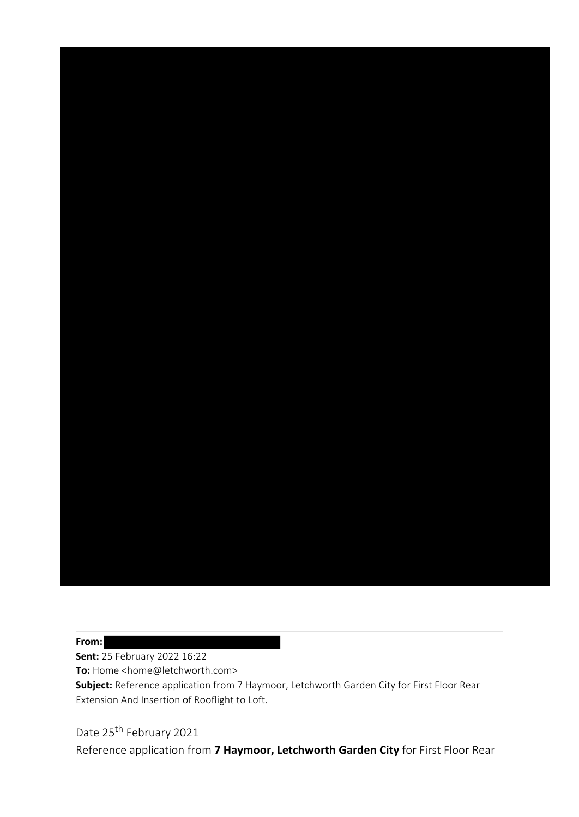**From:**

**Sent:** 25 February 2022 16:22

**To:** Home <home@letchworth.com>

**Subject:** Reference application from 7 Haymoor, Letchworth Garden City for First Floor Rear Extension And Insertion of Rooflight to Loft.

Date 25<sup>th</sup> February 2021

Reference application from **7 Haymoor, Letchworth Garden City** for First Floor Rear